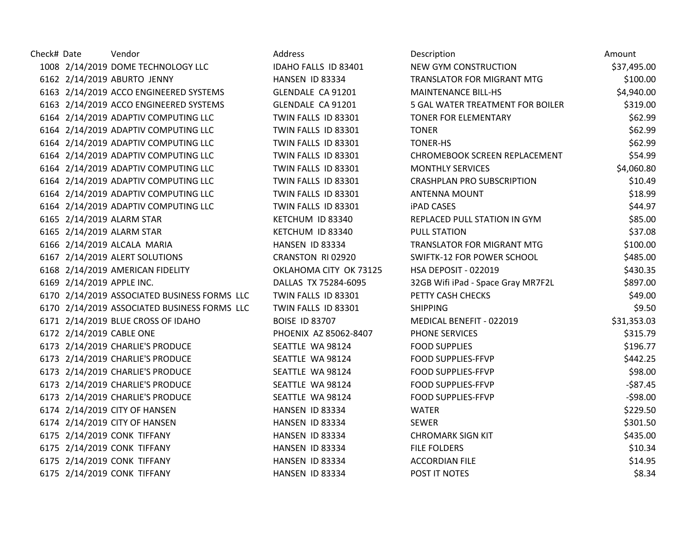| Check# Date |                           | Vendor                                       | Address                | Description                        | Amount      |
|-------------|---------------------------|----------------------------------------------|------------------------|------------------------------------|-------------|
|             |                           | 1008 2/14/2019 DOME TECHNOLOGY LLC           | IDAHO FALLS ID 83401   | NEW GYM CONSTRUCTION               | \$37,495.00 |
|             |                           | 6162 2/14/2019 ABURTO JENNY                  | HANSEN ID 83334        | TRANSLATOR FOR MIGRANT MTG         | \$100.00    |
|             |                           | 6163 2/14/2019 ACCO ENGINEERED SYSTEMS       | GLENDALE CA 91201      | <b>MAINTENANCE BILL-HS</b>         | \$4,940.00  |
|             |                           | 6163 2/14/2019 ACCO ENGINEERED SYSTEMS       | GLENDALE CA 91201      | 5 GAL WATER TREATMENT FOR BOILER   | \$319.00    |
|             |                           | 6164 2/14/2019 ADAPTIV COMPUTING LLC         | TWIN FALLS ID 83301    | <b>TONER FOR ELEMENTARY</b>        | \$62.99     |
|             |                           | 6164 2/14/2019 ADAPTIV COMPUTING LLC         | TWIN FALLS ID 83301    | <b>TONER</b>                       | \$62.99     |
|             |                           | 6164 2/14/2019 ADAPTIV COMPUTING LLC         | TWIN FALLS ID 83301    | <b>TONER-HS</b>                    | \$62.99     |
|             |                           | 6164 2/14/2019 ADAPTIV COMPUTING LLC         | TWIN FALLS ID 83301    | CHROMEBOOK SCREEN REPLACEMENT      | \$54.99     |
|             |                           | 6164 2/14/2019 ADAPTIV COMPUTING LLC         | TWIN FALLS ID 83301    | <b>MONTHLY SERVICES</b>            | \$4,060.80  |
|             |                           | 6164 2/14/2019 ADAPTIV COMPUTING LLC         | TWIN FALLS ID 83301    | <b>CRASHPLAN PRO SUBSCRIPTION</b>  | \$10.49     |
|             |                           | 6164 2/14/2019 ADAPTIV COMPUTING LLC         | TWIN FALLS ID 83301    | <b>ANTENNA MOUNT</b>               | \$18.99     |
|             |                           | 6164 2/14/2019 ADAPTIV COMPUTING LLC         | TWIN FALLS ID 83301    | <b>iPAD CASES</b>                  | \$44.97     |
|             |                           | 6165 2/14/2019 ALARM STAR                    | KETCHUM ID 83340       | REPLACED PULL STATION IN GYM       | \$85.00     |
|             |                           | 6165 2/14/2019 ALARM STAR                    | KETCHUM ID 83340       | <b>PULL STATION</b>                | \$37.08     |
|             |                           | 6166 2/14/2019 ALCALA MARIA                  | HANSEN ID 83334        | TRANSLATOR FOR MIGRANT MTG         | \$100.00    |
|             |                           | 6167 2/14/2019 ALERT SOLUTIONS               | CRANSTON RI 02920      | SWIFTK-12 FOR POWER SCHOOL         | \$485.00    |
|             |                           | 6168 2/14/2019 AMERICAN FIDELITY             | OKLAHOMA CITY OK 73125 | HSA DEPOSIT - 022019               | \$430.35    |
|             | 6169 2/14/2019 APPLE INC. |                                              | DALLAS TX 75284-6095   | 32GB Wifi iPad - Space Gray MR7F2L | \$897.00    |
|             |                           | 6170 2/14/2019 ASSOCIATED BUSINESS FORMS LLC | TWIN FALLS ID 83301    | PETTY CASH CHECKS                  | \$49.00     |
|             |                           | 6170 2/14/2019 ASSOCIATED BUSINESS FORMS LLC | TWIN FALLS ID 83301    | <b>SHIPPING</b>                    | \$9.50      |
|             |                           | 6171 2/14/2019 BLUE CROSS OF IDAHO           | <b>BOISE ID 83707</b>  | MEDICAL BENEFIT - 022019           | \$31,353.03 |
|             |                           | 6172 2/14/2019 CABLE ONE                     | PHOENIX AZ 85062-8407  | PHONE SERVICES                     | \$315.79    |
|             |                           | 6173 2/14/2019 CHARLIE'S PRODUCE             | SEATTLE WA 98124       | <b>FOOD SUPPLIES</b>               | \$196.77    |
|             |                           | 6173 2/14/2019 CHARLIE'S PRODUCE             | SEATTLE WA 98124       | <b>FOOD SUPPLIES-FFVP</b>          | \$442.25    |
|             |                           | 6173 2/14/2019 CHARLIE'S PRODUCE             | SEATTLE WA 98124       | <b>FOOD SUPPLIES-FFVP</b>          | \$98.00     |
|             |                           | 6173 2/14/2019 CHARLIE'S PRODUCE             | SEATTLE WA 98124       | <b>FOOD SUPPLIES-FFVP</b>          | $-587.45$   |
|             |                           | 6173 2/14/2019 CHARLIE'S PRODUCE             | SEATTLE WA 98124       | <b>FOOD SUPPLIES-FFVP</b>          | $-598.00$   |
|             |                           | 6174 2/14/2019 CITY OF HANSEN                | HANSEN ID 83334        | <b>WATER</b>                       | \$229.50    |
|             |                           | 6174 2/14/2019 CITY OF HANSEN                | HANSEN ID 83334        | <b>SEWER</b>                       | \$301.50    |
|             |                           | 6175 2/14/2019 CONK TIFFANY                  | HANSEN ID 83334        | <b>CHROMARK SIGN KIT</b>           | \$435.00    |
|             |                           | 6175 2/14/2019 CONK TIFFANY                  | HANSEN ID 83334        | <b>FILE FOLDERS</b>                | \$10.34     |
|             |                           | 6175 2/14/2019 CONK TIFFANY                  | HANSEN ID 83334        | <b>ACCORDIAN FILE</b>              | \$14.95     |
|             |                           | 6175 2/14/2019 CONK TIFFANY                  | HANSEN ID 83334        | POST IT NOTES                      | \$8.34      |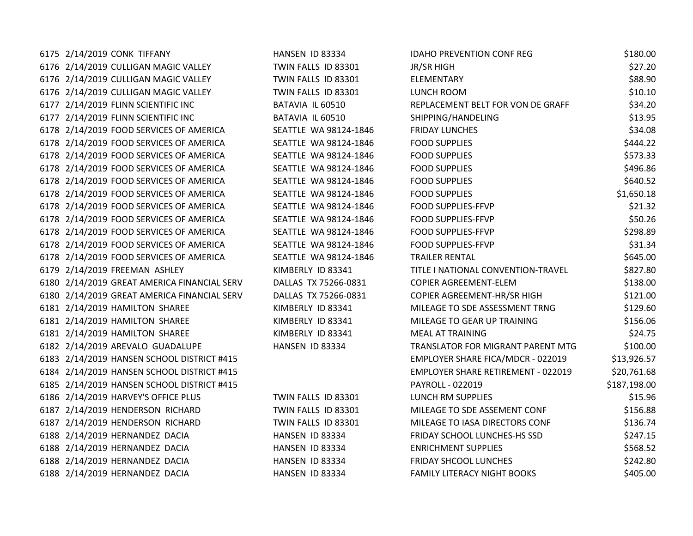| 6175 2/14/2019 CONK TIFFANY                 | HANSEN ID 83334       | <b>IDAHO PREVENTION CONF REG</b>          | \$180.00     |
|---------------------------------------------|-----------------------|-------------------------------------------|--------------|
| 6176 2/14/2019 CULLIGAN MAGIC VALLEY        | TWIN FALLS ID 83301   | JR/SR HIGH                                | \$27.20      |
| 6176 2/14/2019 CULLIGAN MAGIC VALLEY        | TWIN FALLS ID 83301   | ELEMENTARY                                | \$88.90      |
| 6176 2/14/2019 CULLIGAN MAGIC VALLEY        | TWIN FALLS ID 83301   | LUNCH ROOM                                | \$10.10      |
| 6177 2/14/2019 FLINN SCIENTIFIC INC         | BATAVIA IL 60510      | REPLACEMENT BELT FOR VON DE GRAFF         | \$34.20      |
| 6177 2/14/2019 FLINN SCIENTIFIC INC         | BATAVIA IL 60510      | SHIPPING/HANDELING                        | \$13.95      |
| 6178 2/14/2019 FOOD SERVICES OF AMERICA     | SEATTLE WA 98124-1846 | <b>FRIDAY LUNCHES</b>                     | \$34.08      |
| 6178 2/14/2019 FOOD SERVICES OF AMERICA     | SEATTLE WA 98124-1846 | <b>FOOD SUPPLIES</b>                      | \$444.22     |
| 6178 2/14/2019 FOOD SERVICES OF AMERICA     | SEATTLE WA 98124-1846 | <b>FOOD SUPPLIES</b>                      | \$573.33     |
| 6178 2/14/2019 FOOD SERVICES OF AMERICA     | SEATTLE WA 98124-1846 | <b>FOOD SUPPLIES</b>                      | \$496.86     |
| 6178 2/14/2019 FOOD SERVICES OF AMERICA     | SEATTLE WA 98124-1846 | <b>FOOD SUPPLIES</b>                      | \$640.52     |
| 6178 2/14/2019 FOOD SERVICES OF AMERICA     | SEATTLE WA 98124-1846 | <b>FOOD SUPPLIES</b>                      | \$1,650.18   |
| 6178 2/14/2019 FOOD SERVICES OF AMERICA     | SEATTLE WA 98124-1846 | <b>FOOD SUPPLIES-FFVP</b>                 | \$21.32      |
| 6178 2/14/2019 FOOD SERVICES OF AMERICA     | SEATTLE WA 98124-1846 | FOOD SUPPLIES-FFVP                        | \$50.26      |
| 6178 2/14/2019 FOOD SERVICES OF AMERICA     | SEATTLE WA 98124-1846 | <b>FOOD SUPPLIES-FFVP</b>                 | \$298.89     |
| 6178 2/14/2019 FOOD SERVICES OF AMERICA     | SEATTLE WA 98124-1846 | FOOD SUPPLIES-FFVP                        | \$31.34      |
| 6178 2/14/2019 FOOD SERVICES OF AMERICA     | SEATTLE WA 98124-1846 | <b>TRAILER RENTAL</b>                     | \$645.00     |
| 6179 2/14/2019 FREEMAN ASHLEY               | KIMBERLY ID 83341     | TITLE I NATIONAL CONVENTION-TRAVEL        | \$827.80     |
| 6180 2/14/2019 GREAT AMERICA FINANCIAL SERV | DALLAS TX 75266-0831  | COPIER AGREEMENT-ELEM                     | \$138.00     |
| 6180 2/14/2019 GREAT AMERICA FINANCIAL SERV | DALLAS TX 75266-0831  | COPIER AGREEMENT-HR/SR HIGH               | \$121.00     |
| 6181 2/14/2019 HAMILTON SHAREE              | KIMBERLY ID 83341     | MILEAGE TO SDE ASSESSMENT TRNG            | \$129.60     |
| 6181 2/14/2019 HAMILTON SHAREE              | KIMBERLY ID 83341     | MILEAGE TO GEAR UP TRAINING               | \$156.06     |
| 6181 2/14/2019 HAMILTON SHAREE              | KIMBERLY ID 83341     | <b>MEAL AT TRAINING</b>                   | \$24.75      |
| 6182 2/14/2019 AREVALO GUADALUPE            | HANSEN ID 83334       | TRANSLATOR FOR MIGRANT PARENT MTG         | \$100.00     |
| 6183 2/14/2019 HANSEN SCHOOL DISTRICT #415  |                       | EMPLOYER SHARE FICA/MDCR - 022019         | \$13,926.57  |
| 6184 2/14/2019 HANSEN SCHOOL DISTRICT #415  |                       | <b>EMPLOYER SHARE RETIREMENT - 022019</b> | \$20,761.68  |
| 6185 2/14/2019 HANSEN SCHOOL DISTRICT #415  |                       | PAYROLL - 022019                          | \$187,198.00 |
| 6186 2/14/2019 HARVEY'S OFFICE PLUS         | TWIN FALLS ID 83301   | LUNCH RM SUPPLIES                         | \$15.96      |
| 6187 2/14/2019 HENDERSON RICHARD            | TWIN FALLS ID 83301   | MILEAGE TO SDE ASSEMENT CONF              | \$156.88     |
| 6187 2/14/2019 HENDERSON RICHARD            | TWIN FALLS ID 83301   | MILEAGE TO IASA DIRECTORS CONF            | \$136.74     |
| 6188 2/14/2019 HERNANDEZ DACIA              | HANSEN ID 83334       | FRIDAY SCHOOL LUNCHES-HS SSD              | \$247.15     |
| 6188 2/14/2019 HERNANDEZ DACIA              | HANSEN ID 83334       | <b>ENRICHMENT SUPPLIES</b>                | \$568.52     |
| 6188 2/14/2019 HERNANDEZ DACIA              | HANSEN ID 83334       | FRIDAY SHCOOL LUNCHES                     | \$242.80     |
| 6188 2/14/2019 HERNANDEZ DACIA              | HANSEN ID 83334       | <b>FAMILY LITERACY NIGHT BOOKS</b>        | \$405.00     |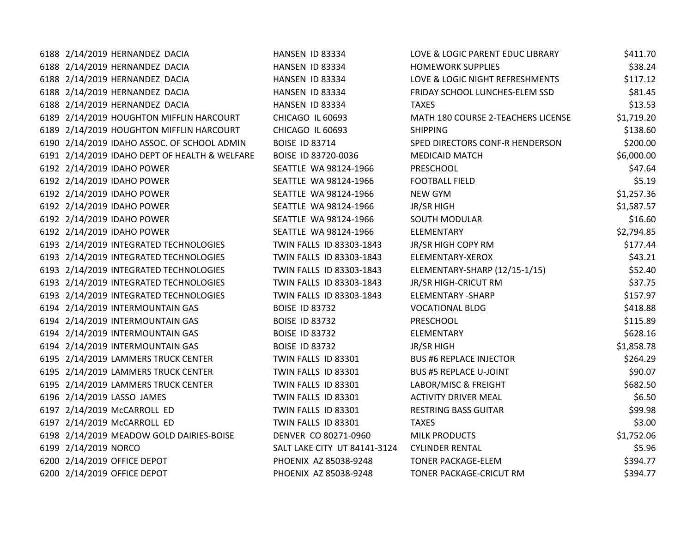| 6188 2/14/2019 HERNANDEZ DACIA                | HANSEN ID 83334              | LOVE & LOGIC PARENT EDUC LIBRARY   | \$411.70   |
|-----------------------------------------------|------------------------------|------------------------------------|------------|
| 6188 2/14/2019 HERNANDEZ DACIA                | HANSEN ID 83334              | <b>HOMEWORK SUPPLIES</b>           | \$38.24    |
| 6188 2/14/2019 HERNANDEZ DACIA                | HANSEN ID 83334              | LOVE & LOGIC NIGHT REFRESHMENTS    | \$117.12   |
| 6188 2/14/2019 HERNANDEZ DACIA                | HANSEN ID 83334              | FRIDAY SCHOOL LUNCHES-ELEM SSD     | \$81.45    |
| 6188 2/14/2019 HERNANDEZ DACIA                | HANSEN ID 83334              | <b>TAXES</b>                       | \$13.53    |
| 6189 2/14/2019 HOUGHTON MIFFLIN HARCOURT      | CHICAGO IL 60693             | MATH 180 COURSE 2-TEACHERS LICENSE | \$1,719.20 |
| 6189 2/14/2019 HOUGHTON MIFFLIN HARCOURT      | CHICAGO IL 60693             | <b>SHIPPING</b>                    | \$138.60   |
| 6190 2/14/2019 IDAHO ASSOC. OF SCHOOL ADMIN   | <b>BOISE ID 83714</b>        | SPED DIRECTORS CONF-R HENDERSON    | \$200.00   |
| 6191 2/14/2019 IDAHO DEPT OF HEALTH & WELFARE | BOISE ID 83720-0036          | <b>MEDICAID MATCH</b>              | \$6,000.00 |
| 6192 2/14/2019 IDAHO POWER                    | SEATTLE WA 98124-1966        | <b>PRESCHOOL</b>                   | \$47.64    |
| 6192 2/14/2019 IDAHO POWER                    | SEATTLE WA 98124-1966        | <b>FOOTBALL FIELD</b>              | \$5.19     |
| 6192 2/14/2019 IDAHO POWER                    | SEATTLE WA 98124-1966        | NEW GYM                            | \$1,257.36 |
| 6192 2/14/2019 IDAHO POWER                    | SEATTLE WA 98124-1966        | JR/SR HIGH                         | \$1,587.57 |
| 6192 2/14/2019 IDAHO POWER                    | SEATTLE WA 98124-1966        | <b>SOUTH MODULAR</b>               | \$16.60    |
| 6192 2/14/2019 IDAHO POWER                    | SEATTLE WA 98124-1966        | ELEMENTARY                         | \$2,794.85 |
| 6193 2/14/2019 INTEGRATED TECHNOLOGIES        | TWIN FALLS ID 83303-1843     | JR/SR HIGH COPY RM                 | \$177.44   |
| 6193 2/14/2019 INTEGRATED TECHNOLOGIES        | TWIN FALLS ID 83303-1843     | ELEMENTARY-XEROX                   | \$43.21    |
| 6193 2/14/2019 INTEGRATED TECHNOLOGIES        | TWIN FALLS ID 83303-1843     | ELEMENTARY-SHARP (12/15-1/15)      | \$52.40    |
| 6193 2/14/2019 INTEGRATED TECHNOLOGIES        | TWIN FALLS ID 83303-1843     | JR/SR HIGH-CRICUT RM               | \$37.75    |
| 6193 2/14/2019 INTEGRATED TECHNOLOGIES        | TWIN FALLS ID 83303-1843     | ELEMENTARY - SHARP                 | \$157.97   |
| 6194 2/14/2019 INTERMOUNTAIN GAS              | <b>BOISE ID 83732</b>        | <b>VOCATIONAL BLDG</b>             | \$418.88   |
| 6194 2/14/2019 INTERMOUNTAIN GAS              | <b>BOISE ID 83732</b>        | <b>PRESCHOOL</b>                   | \$115.89   |
| 6194 2/14/2019 INTERMOUNTAIN GAS              | <b>BOISE ID 83732</b>        | ELEMENTARY                         | \$628.16   |
| 6194 2/14/2019 INTERMOUNTAIN GAS              | <b>BOISE ID 83732</b>        | JR/SR HIGH                         | \$1,858.78 |
| 6195 2/14/2019 LAMMERS TRUCK CENTER           | TWIN FALLS ID 83301          | <b>BUS #6 REPLACE INJECTOR</b>     | \$264.29   |
| 6195 2/14/2019 LAMMERS TRUCK CENTER           | TWIN FALLS ID 83301          | <b>BUS #5 REPLACE U-JOINT</b>      | \$90.07    |
| 6195 2/14/2019 LAMMERS TRUCK CENTER           | TWIN FALLS ID 83301          | LABOR/MISC & FREIGHT               | \$682.50   |
| 6196 2/14/2019 LASSO JAMES                    | TWIN FALLS ID 83301          | <b>ACTIVITY DRIVER MEAL</b>        | \$6.50     |
| 6197 2/14/2019 McCARROLL ED                   | TWIN FALLS ID 83301          | <b>RESTRING BASS GUITAR</b>        | \$99.98    |
| 6197 2/14/2019 McCARROLL ED                   | TWIN FALLS ID 83301          | <b>TAXES</b>                       | \$3.00     |
| 6198 2/14/2019 MEADOW GOLD DAIRIES-BOISE      | DENVER CO 80271-0960         | <b>MILK PRODUCTS</b>               | \$1,752.06 |
| 6199 2/14/2019 NORCO                          | SALT LAKE CITY UT 84141-3124 | <b>CYLINDER RENTAL</b>             | \$5.96     |
| 6200 2/14/2019 OFFICE DEPOT                   | PHOENIX AZ 85038-9248        | <b>TONER PACKAGE-ELEM</b>          | \$394.77   |
| 6200 2/14/2019 OFFICE DEPOT                   | PHOENIX AZ 85038-9248        | TONER PACKAGE-CRICUT RM            | \$394.77   |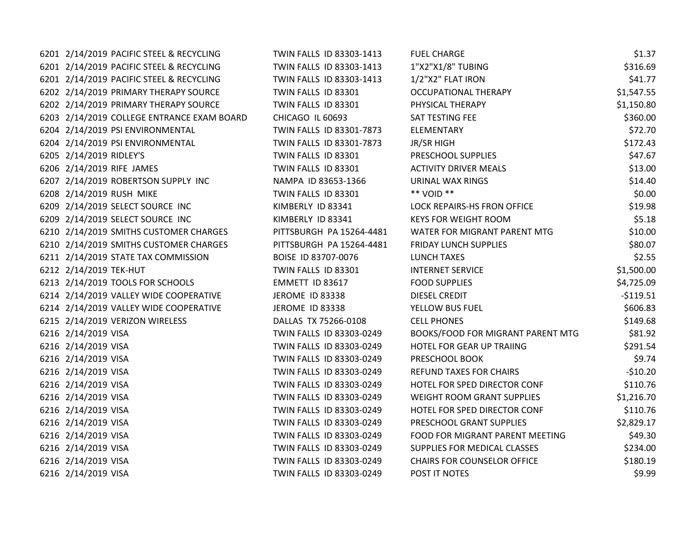| 6201 2/14/2019 PACIFIC STEEL & RECYCLING   | TWIN FALLS ID 83303-1413 | <b>FUEL CHARGE</b>                 | \$1.37     |
|--------------------------------------------|--------------------------|------------------------------------|------------|
| 6201 2/14/2019 PACIFIC STEEL & RECYCLING   | TWIN FALLS ID 83303-1413 | 1"X2"X1/8" TUBING                  | \$316.69   |
| 6201 2/14/2019 PACIFIC STEEL & RECYCLING   | TWIN FALLS ID 83303-1413 | 1/2"X2" FLAT IRON                  | \$41.77    |
| 6202 2/14/2019 PRIMARY THERAPY SOURCE      | TWIN FALLS ID 83301      | <b>OCCUPATIONAL THERAPY</b>        | \$1,547.55 |
| 6202 2/14/2019 PRIMARY THERAPY SOURCE      | TWIN FALLS ID 83301      | PHYSICAL THERAPY                   | \$1,150.80 |
| 6203 2/14/2019 COLLEGE ENTRANCE EXAM BOARD | CHICAGO IL 60693         | SAT TESTING FEE                    | \$360.00   |
| 6204 2/14/2019 PSI ENVIRONMENTAL           | TWIN FALLS ID 83301-7873 | ELEMENTARY                         | \$72.70    |
| 6204 2/14/2019 PSI ENVIRONMENTAL           | TWIN FALLS ID 83301-7873 | JR/SR HIGH                         | \$172.43   |
| 6205 2/14/2019 RIDLEY'S                    | TWIN FALLS ID 83301      | PRESCHOOL SUPPLIES                 | \$47.67    |
| 6206 2/14/2019 RIFE JAMES                  | TWIN FALLS ID 83301      | <b>ACTIVITY DRIVER MEALS</b>       | \$13.00    |
| 6207 2/14/2019 ROBERTSON SUPPLY INC        | NAMPA ID 83653-1366      | <b>URINAL WAX RINGS</b>            | \$14.40    |
| 6208 2/14/2019 RUSH MIKE                   | TWIN FALLS ID 83301      | ** VOID **                         | \$0.00     |
| 6209 2/14/2019 SELECT SOURCE INC           | KIMBERLY ID 83341        | LOCK REPAIRS-HS FRON OFFICE        | \$19.98    |
| 6209 2/14/2019 SELECT SOURCE INC           | KIMBERLY ID 83341        | <b>KEYS FOR WEIGHT ROOM</b>        | \$5.18     |
| 6210 2/14/2019 SMITHS CUSTOMER CHARGES     | PITTSBURGH PA 15264-4481 | WATER FOR MIGRANT PARENT MTG       | \$10.00    |
| 6210 2/14/2019 SMITHS CUSTOMER CHARGES     | PITTSBURGH PA 15264-4481 | <b>FRIDAY LUNCH SUPPLIES</b>       | \$80.07    |
| 6211 2/14/2019 STATE TAX COMMISSION        | BOISE ID 83707-0076      | <b>LUNCH TAXES</b>                 | \$2.55     |
| 6212 2/14/2019 TEK-HUT                     | TWIN FALLS ID 83301      | <b>INTERNET SERVICE</b>            | \$1,500.00 |
| 6213 2/14/2019 TOOLS FOR SCHOOLS           | EMMETT ID 83617          | <b>FOOD SUPPLIES</b>               | \$4,725.09 |
| 6214 2/14/2019 VALLEY WIDE COOPERATIVE     | <b>JEROME ID 83338</b>   | DIESEL CREDIT                      | $-5119.51$ |
| 6214 2/14/2019 VALLEY WIDE COOPERATIVE     | <b>JEROME ID 83338</b>   | YELLOW BUS FUEL                    | \$606.83   |
| 6215 2/14/2019 VERIZON WIRELESS            | DALLAS TX 75266-0108     | <b>CELL PHONES</b>                 | \$149.68   |
| 6216 2/14/2019 VISA                        | TWIN FALLS ID 83303-0249 | BOOKS/FOOD FOR MIGRANT PARENT MTG  | \$81.92    |
| 6216 2/14/2019 VISA                        | TWIN FALLS ID 83303-0249 | HOTEL FOR GEAR UP TRAIING          | \$291.54   |
| 6216 2/14/2019 VISA                        | TWIN FALLS ID 83303-0249 | PRESCHOOL BOOK                     | \$9.74     |
| 6216 2/14/2019 VISA                        | TWIN FALLS ID 83303-0249 | <b>REFUND TAXES FOR CHAIRS</b>     | $-510.20$  |
| 6216 2/14/2019 VISA                        | TWIN FALLS ID 83303-0249 | HOTEL FOR SPED DIRECTOR CONF       | \$110.76   |
| 6216 2/14/2019 VISA                        | TWIN FALLS ID 83303-0249 | WEIGHT ROOM GRANT SUPPLIES         | \$1,216.70 |
| 6216 2/14/2019 VISA                        | TWIN FALLS ID 83303-0249 | HOTEL FOR SPED DIRECTOR CONF       | \$110.76   |
| 6216 2/14/2019 VISA                        | TWIN FALLS ID 83303-0249 | PRESCHOOL GRANT SUPPLIES           | \$2,829.17 |
| 6216 2/14/2019 VISA                        | TWIN FALLS ID 83303-0249 | FOOD FOR MIGRANT PARENT MEETING    | \$49.30    |
| 6216 2/14/2019 VISA                        | TWIN FALLS ID 83303-0249 | SUPPLIES FOR MEDICAL CLASSES       | \$234.00   |
| 6216 2/14/2019 VISA                        | TWIN FALLS ID 83303-0249 | <b>CHAIRS FOR COUNSELOR OFFICE</b> | \$180.19   |
| 6216 2/14/2019 VISA                        | TWIN FALLS ID 83303-0249 | POST IT NOTES                      | \$9.99     |